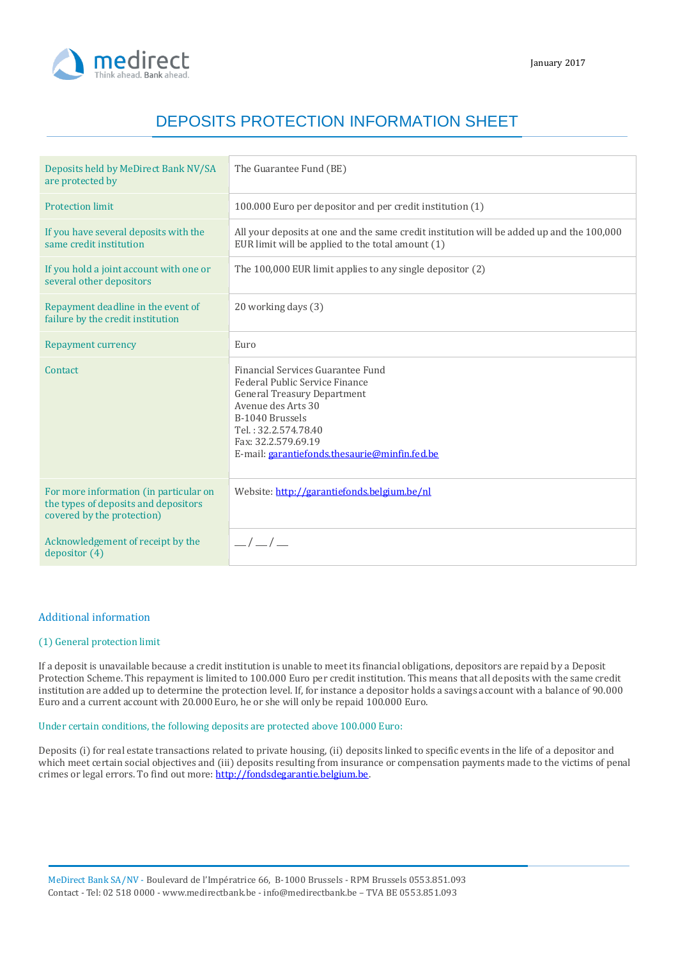

# DEPOSITS PROTECTION INFORMATION SHEET

| Deposits held by MeDirect Bank NV/SA<br>are protected by                                                     | The Guarantee Fund (BE)                                                                                                                                                                                                                            |
|--------------------------------------------------------------------------------------------------------------|----------------------------------------------------------------------------------------------------------------------------------------------------------------------------------------------------------------------------------------------------|
| <b>Protection limit</b>                                                                                      | 100.000 Euro per depositor and per credit institution (1)                                                                                                                                                                                          |
| If you have several deposits with the<br>same credit institution                                             | All your deposits at one and the same credit institution will be added up and the 100,000<br>EUR limit will be applied to the total amount (1)                                                                                                     |
| If you hold a joint account with one or<br>several other depositors                                          | The 100,000 EUR limit applies to any single depositor (2)                                                                                                                                                                                          |
| Repayment deadline in the event of<br>failure by the credit institution                                      | 20 working days (3)                                                                                                                                                                                                                                |
| Repayment currency                                                                                           | Euro                                                                                                                                                                                                                                               |
| Contact                                                                                                      | Financial Services Guarantee Fund<br>Federal Public Service Finance<br><b>General Treasury Department</b><br>Avenue des Arts 30<br>B-1040 Brussels<br>Tel.: 32.2.574.78.40<br>Fax: 32.2.579.69.19<br>E-mail: garantiefonds.thesaurie@minfin.fed.be |
| For more information (in particular on<br>the types of deposits and depositors<br>covered by the protection) | Website: http://garantiefonds.belgium.be/nl                                                                                                                                                                                                        |
| Acknowledgement of receipt by the<br>depositor $(4)$                                                         | $\frac{-1}{-}$                                                                                                                                                                                                                                     |

## Additional information

## (1) General protection limit

If a deposit is unavailable because a credit institution is unable to meet its financial obligations, depositors are repaid by a Deposit Protection Scheme. This repayment is limited to 100.000 Euro per credit institution. This means that all deposits with the same credit institution are added up to determine the protection level. If, for instance a depositor holds a savings account with a balance of 90.000 Euro and a current account with 20.000 Euro, he or she will only be repaid 100.000 Euro.

## Under certain conditions, the following deposits are protected above 100.000 Euro:

Deposits (i) for real estate transactions related to private housing, (ii) deposits linked to specific events in the life of a depositor and which meet certain social objectives and (iii) deposits resulting from insurance or compensation payments made to the victims of penal crimes or legal errors. To find out more[: http://fondsdegarantie.belgium.be.](http://fondsdegarantie.belgium.be/)